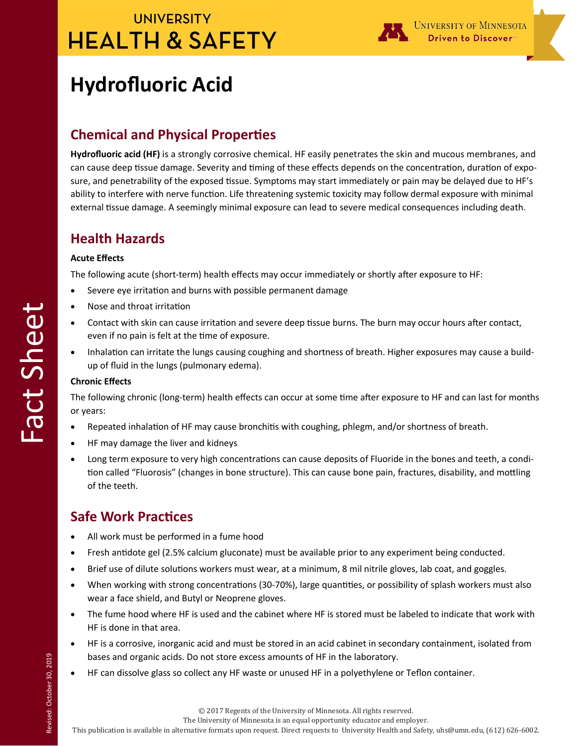## **UNIVERSITY HEALTH & SAFETY**



# **Hydrofluoric Acid**

### **Chemical and Physical Properties**

**Hydrofluoric acid (HF)** is a strongly corrosive chemical. HF easily penetrates the skin and mucous membranes, and can cause deep tissue damage. Severity and timing of these effects depends on the concentration, duration of exposure, and penetrability of the exposed tissue. Symptoms may start immediately or pain may be delayed due to HF's ability to interfere with nerve function. Life threatening systemic toxicity may follow dermal exposure with minimal external tissue damage. A seemingly minimal exposure can lead to severe medical consequences including death.

### **Health Hazards**

#### **Acute Effects**

The following acute (short-term) health effects may occur immediately or shortly after exposure to HF:

- Severe eye irritation and burns with possible permanent damage
- Nose and throat irritation
- Contact with skin can cause irritation and severe deep tissue burns. The burn may occur hours after contact, even if no pain is felt at the time of exposure.
- Inhalation can irritate the lungs causing coughing and shortness of breath. Higher exposures may cause a buildup of fluid in the lungs (pulmonary edema).

#### **Chronic Effects**

The following chronic (long-term) health effects can occur at some time after exposure to HF and can last for months or years:

- Repeated inhalation of HF may cause bronchitis with coughing, phlegm, and/or shortness of breath.
- HF may damage the liver and kidneys
- Long term exposure to very high concentrations can cause deposits of Fluoride in the bones and teeth, a condition called "Fluorosis" (changes in bone structure). This can cause bone pain, fractures, disability, and mottling of the teeth.

### **Safe Work Practices**

- All work must be performed in a fume hood
- Fresh antidote gel (2.5% calcium gluconate) must be available prior to any experiment being conducted.
- Brief use of dilute solutions workers must wear, at a minimum, 8 mil nitrile gloves, lab coat, and goggles.
- When working with strong concentrations (30-70%), large quantities, or possibility of splash workers must also wear a face shield, and Butyl or Neoprene gloves.
- The fume hood where HF is used and the cabinet where HF is stored must be labeled to indicate that work with HF is done in that area.
- HF is a corrosive, inorganic acid and must be stored in an acid cabinet in secondary containment, isolated from bases and organic acids. Do not store excess amounts of HF in the laboratory.
- HF can dissolve glass so collect any HF waste or unused HF in a polyethylene or Teflon container.

The University of Minnesota is an equal opportunity educator and employer.

This publication is available in alternative formats upon request. Direct requests to University Health and Safety, uhs@umn.edu, (612) 626-6002.